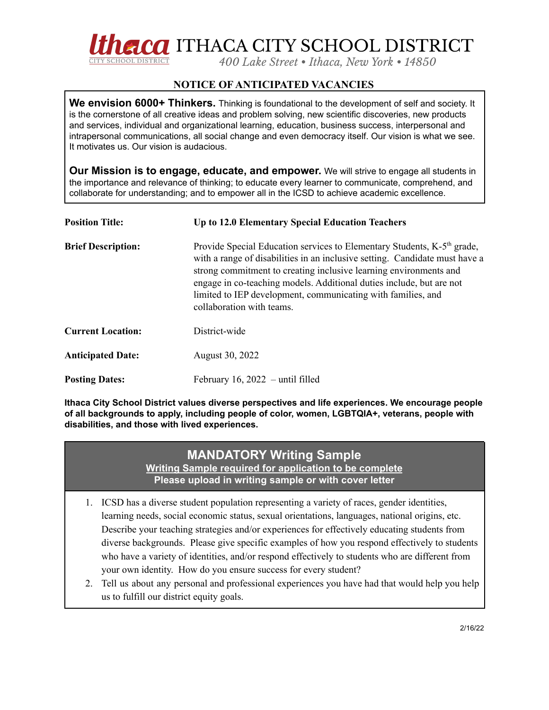

## **NOTICE OF ANTICIPATED VACANCIES**

**We envision 6000+ Thinkers.** Thinking is foundational to the development of self and society. It is the cornerstone of all creative ideas and problem solving, new scientific discoveries, new products and services, individual and organizational learning, education, business success, interpersonal and intrapersonal communications, all social change and even democracy itself. Our vision is what we see. It motivates us. Our vision is audacious.

**Our Mission is to engage, educate, and empower.** We will strive to engage all students in the importance and relevance of thinking; to educate every learner to communicate, comprehend, and collaborate for understanding; and to empower all in the ICSD to achieve academic excellence.

| <b>Position Title:</b>    | Up to 12.0 Elementary Special Education Teachers                                                                                                                                                                                                                                                                                                                                                             |
|---------------------------|--------------------------------------------------------------------------------------------------------------------------------------------------------------------------------------------------------------------------------------------------------------------------------------------------------------------------------------------------------------------------------------------------------------|
| <b>Brief Description:</b> | Provide Special Education services to Elementary Students, K-5 <sup>th</sup> grade,<br>with a range of disabilities in an inclusive setting. Candidate must have a<br>strong commitment to creating inclusive learning environments and<br>engage in co-teaching models. Additional duties include, but are not<br>limited to IEP development, communicating with families, and<br>collaboration with teams. |
| <b>Current Location:</b>  | District-wide                                                                                                                                                                                                                                                                                                                                                                                                |
| <b>Anticipated Date:</b>  | August 30, 2022                                                                                                                                                                                                                                                                                                                                                                                              |
| <b>Posting Dates:</b>     | February 16, $2022 -$ until filled                                                                                                                                                                                                                                                                                                                                                                           |

**Ithaca City School District values diverse perspectives and life experiences. We encourage people of all backgrounds to apply, including people of color, women, LGBTQIA+, veterans, people with disabilities, and those with lived experiences.**

## **MANDATORY Writing Sample**

**Writing Sample required for application to be complete Please upload in writing sample or with cover letter**

- 1. ICSD has a diverse student population representing a variety of races, gender identities, learning needs, social economic status, sexual orientations, languages, national origins, etc. Describe your teaching strategies and/or experiences for effectively educating students from diverse backgrounds. Please give specific examples of how you respond effectively to students who have a variety of identities, and/or respond effectively to students who are different from your own identity. How do you ensure success for every student?
- 2. Tell us about any personal and professional experiences you have had that would help you help us to fulfill our district equity goals.